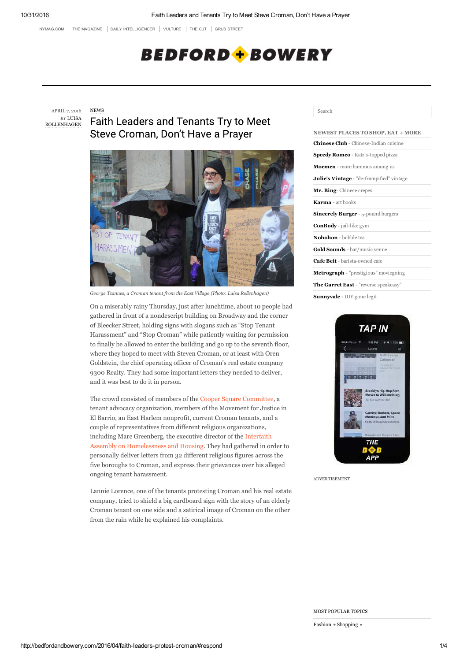NYMAG.COM | THE MAGAZINE | DAILY INTELLIGENCER | VULTURE | THE CUT | GRUB STREET

# **BEDFORD + BOWERY**

APRIL 7, 2016 *BY* LUISA ROLLENHAGEN NEWS

**Faith Leaders and Tenants Try to Meet** Steve Croman, Don't Have a Prayer



*George Tzannes, a Croman tenant from the East Village (Photo: Luisa Rollenhagen)*

On a miserably rainy Thursday, just after lunchtime, about 10 people had gathered in front of a nondescript building on Broadway and the corner of Bleecker Street, holding signs with slogans such as "Stop Tenant Harassment" and "Stop Croman" while patiently waiting for permission to finally be allowed to enter the building and go up to the seventh floor, where they hoped to meet with Steven Croman, or at least with Oren Goldstein, the chief operating officer of Croman's real estate company 9300 Realty. They had some important letters they needed to deliver, and it was best to do it in person.

The crowd consisted of members of the Cooper Square Committee, a tenant advocacy organization, members of the Movement for Justice in El Barrio, an East Harlem nonprofit, current Croman tenants, and a couple of representatives from different religious organizations, including Marc Greenberg, the executive director of the Interfaith Assembly on Homelessness and Housing. They had gathered in order to personally deliver letters from 32 different religious figures across the five boroughs to Croman, and express their grievances over his alleged ongoing tenant harassment.

Lannie Lorence, one of the tenants protesting Croman and his real estate company, tried to shield a big cardboard sign with the story of an elderly Croman tenant on one side and a satirical image of Croman on the other from the rain while he explained his complaints.

## Search

| <b>NEWEST PLACES TO SHOP, EAT + MORE</b>     |
|----------------------------------------------|
| <b>Chinese Club</b> - Chinese-Indian cuisine |
| <b>Speedy Romeo</b> - Katz's-topped pizza    |
| <b>Moemen</b> - more hummus among us         |
| Julie's Vintage - "de-frumpified" vintage    |
| Mr. Bing- Chinese crepes                     |
| Karma - art books                            |
| <b>Sincerely Burger</b> - 5-pound burgers    |
| <b>ConBody</b> - jail-like gym               |
| Nohohon - bubble tea                         |
| Gold Sounds - bar/music venue                |
| Cafe Beit - barista-owned cafe               |
| Metrograph - "prestigious" moviegoing        |
| The Garret East - "reverse speakeasy"        |
| <b>Sunnyvale</b> - DIY gone legit            |



ADVERTISEMENT

MOST POPULAR TOPICS

Fashion + Shopping »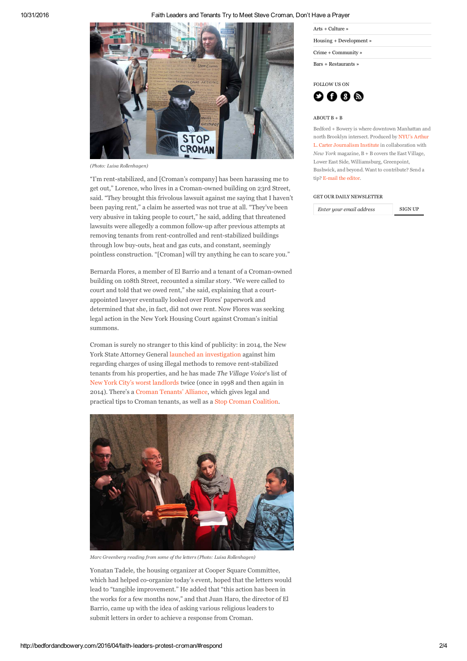# 10/31/2016 Faith Leaders and Tenants Try to Meet Steve Croman, Don't Have a Prayer



*(Photo: Luisa Rollenhagen)*

"I'm rent-stabilized, and [Croman's company] has been harassing me to get out," Lorence, who lives in a Croman-owned building on 23rd Street, said. "They brought this frivolous lawsuit against me saying that I haven't been paying rent," a claim he asserted was not true at all. "They've been very abusive in taking people to court," he said, adding that threatened lawsuits were allegedly a common follow-up after previous attempts at removing tenants from rent-controlled and rent-stabilized buildings through low buy-outs, heat and gas cuts, and constant, seemingly pointless construction. "[Croman] will try anything he can to scare you."

Bernarda Flores, a member of El Barrio and a tenant of a Croman-owned building on 108th Street, recounted a similar story. "We were called to court and told that we owed rent," she said, explaining that a courtappointed lawyer eventually looked over Flores' paperwork and determined that she, in fact, did not owe rent. Now Flores was seeking legal action in the New York Housing Court against Croman's initial summons.

Croman is surely no stranger to this kind of publicity: in 2014, the New York State Attorney General launched an investigation against him regarding charges of using illegal methods to remove rent-stabilized tenants from his properties, and he has made *The Village Voice*'s list of New York City's worst landlords twice (once in 1998 and then again in 2014). There's a Croman Tenants' Alliance, which gives legal and practical tips to Croman tenants, as well as a Stop Croman Coalition.



*Marc Greenberg reading from some of the letters (Photo: Luisa Rollenhagen)*

Yonatan Tadele, the housing organizer at Cooper Square Committee, which had helped co-organize today's event, hoped that the letters would lead to "tangible improvement." He added that "this action has been in the works for a few months now," and that Juan Haro, the director of El Barrio, came up with the idea of asking various religious leaders to submit letters in order to achieve a response from Croman.

| Arts $+$ Culture $\ast$ |  |
|-------------------------|--|
| Housing + Development » |  |
| Crime + Community »     |  |
| Bars + Restaurants »    |  |



#### ABOUT B + B

Bedford + Bowery is where downtown Manhattan and north Brooklyn intersect. Produced by NYU's Arthur L. Carter Journalism Institute in collaboration with *New York* magazine, B + B covers the East Village, Lower East Side, Williamsburg, Greenpoint, Bushwick, and beyond. Want to contribute? Send a tip? E-mail the editor.

#### GET OUR DAILY NEWSLETTER

*Enter your email address* SIGN UP